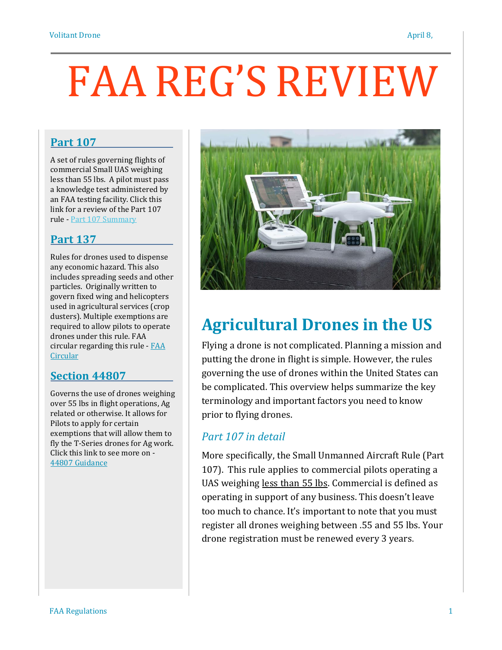# FAA REG'S REVIEW

#### **Part 107**

A set of rules governing flights of commercial Small UAS weighing less than 55 lbs. A pilot must pass a knowledge test administered by an FAA testing facility. Click this link for a review of the Part 107 rule - Part 107 [Summary](https://www.faa.gov/uas/media/Part_107_Summary.pdf)

#### **Part 137**

Rules for drones used to dispense any economic hazard. This also includes spreading seeds and other particles. Originally written to govern fixed wing and helicopters used in agricultural services (crop dusters). Multiple exemptions are required to allow pilots to operate drones under this rule. FAA circular regarding this rule - [FAA](https://www.faa.gov/documentLibrary/media/Advisory_Circular/AC_137-1B.pdf) **[Circular](https://www.faa.gov/documentLibrary/media/Advisory_Circular/AC_137-1B.pdf)** 

#### **Section 44807**

Governs the use of drones weighing over 55 lbs in flight operations, Ag related or otherwise. It allows for Pilots to apply for certain exemptions that will allow them to fly the T-Series drones for Ag work. Click this link to see more on - 44807 [Guidance](https://www.faa.gov/uas/advanced_operations/certification/section_44807/)



# **Agricultural Drones in the US**

Flying a drone is not complicated. Planning a mission and putting the drone in flight is simple. However, the rules governing the use of drones within the United States can be complicated. This overview helps summarize the key terminology and important factors you need to know prior to flying drones.

#### *Part 107 in detail*

More specifically, the Small Unmanned Aircraft Rule (Part 107). This rule applies to commercial pilots operating a UAS weighing less than 55 lbs. Commercial is defined as operating in support of any business. This doesn't leave too much to chance. It's important to note that you must register all drones weighing between .55 and 55 lbs. Your drone registration must be renewed every 3 years.